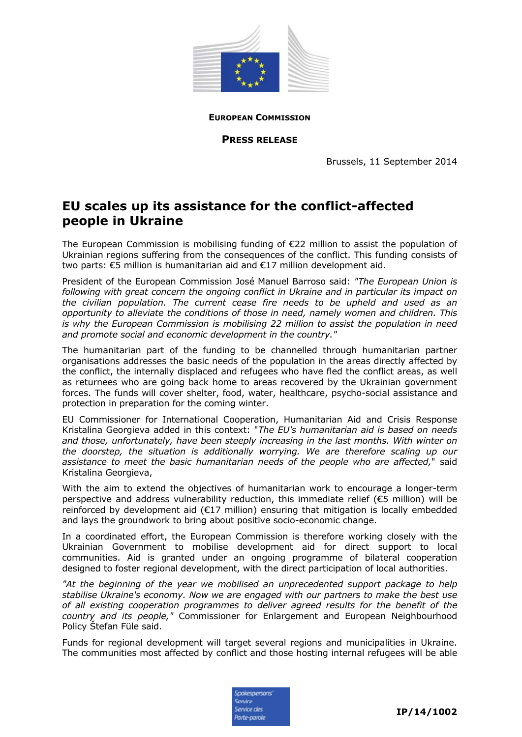

**EUROPEAN COMMISSION**

**PRESS RELEASE**

Brussels, 11 September 2014

## **EU scales up its assistance for the conflict-affected people in Ukraine**

The European Commission is mobilising funding of €22 million to assist the population of Ukrainian regions suffering from the consequences of the conflict. This funding consists of two parts: €5 million is humanitarian aid and €17 million development aid.

President of the European Commission José Manuel Barroso said: *"The European Union is following with great concern the ongoing conflict in Ukraine and in particular its impact on the civilian population. The current cease fire needs to be upheld and used as an opportunity to alleviate the conditions of those in need, namely women and children. This is why the European Commission is mobilising 22 million to assist the population in need and promote social and economic development in the country."* 

The humanitarian part of the funding to be channelled through humanitarian partner organisations addresses the basic needs of the population in the areas directly affected by the conflict, the internally displaced and refugees who have fled the conflict areas, as well as returnees who are going back home to areas recovered by the Ukrainian government forces. The funds will cover shelter, food, water, healthcare, psycho-social assistance and protection in preparation for the coming winter.

EU Commissioner for International Cooperation, Humanitarian Aid and Crisis Response Kristalina Georgieva added in this context: "*The EU's humanitarian aid is based on needs and those, unfortunately, have been steeply increasing in the last months. With winter on the doorstep, the situation is additionally worrying. We are therefore scaling up our assistance to meet the basic humanitarian needs of the people who are affected,*" said Kristalina Georgieva,

With the aim to extend the objectives of humanitarian work to encourage a longer-term perspective and address vulnerability reduction, this immediate relief (€5 million) will be reinforced by development aid (€17 million) ensuring that mitigation is locally embedded and lays the groundwork to bring about positive socio-economic change.

In a coordinated effort, the European Commission is therefore working closely with the Ukrainian Government to mobilise development aid for direct support to local communities. Aid is granted under an ongoing programme of bilateral cooperation designed to foster regional development, with the direct participation of local authorities.

*"At the beginning of the year we mobilised an unprecedented support package to help stabilise Ukraine's economy. Now we are engaged with our partners to make the best use of all existing cooperation programmes to deliver agreed results for the benefit of the country and its people,"* Commissioner for Enlargement and European Neighbourhood Policy Štefan Füle said.

Funds for regional development will target several regions and municipalities in Ukraine. The communities most affected by conflict and those hosting internal refugees will be able